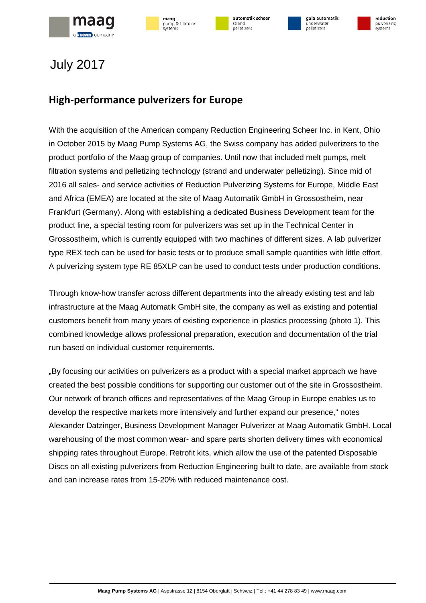







### **High-performance pulverizers for Europe**

With the acquisition of the American company Reduction Engineering Scheer Inc. in Kent, Ohio in October 2015 by Maag Pump Systems AG, the Swiss company has added pulverizers to the product portfolio of the Maag group of companies. Until now that included melt pumps, melt filtration systems and pelletizing technology (strand and underwater pelletizing). Since mid of 2016 all sales- and service activities of Reduction Pulverizing Systems for Europe, Middle East and Africa (EMEA) are located at the site of Maag Automatik GmbH in Grossostheim, near Frankfurt (Germany). Along with establishing a dedicated Business Development team for the product line, a special testing room for pulverizers was set up in the Technical Center in Grossostheim, which is currently equipped with two machines of different sizes. A lab pulverizer type REX tech can be used for basic tests or to produce small sample quantities with little effort. A pulverizing system type RE 85XLP can be used to conduct tests under production conditions.

Through know-how transfer across different departments into the already existing test and lab infrastructure at the Maag Automatik GmbH site, the company as well as existing and potential customers benefit from many years of existing experience in plastics processing (photo 1). This combined knowledge allows professional preparation, execution and documentation of the trial run based on individual customer requirements.

"By focusing our activities on pulverizers as a product with a special market approach we have created the best possible conditions for supporting our customer out of the site in Grossostheim. Our network of branch offices and representatives of the Maag Group in Europe enables us to develop the respective markets more intensively and further expand our presence," notes Alexander Datzinger, Business Development Manager Pulverizer at Maag Automatik GmbH. Local warehousing of the most common wear- and spare parts shorten delivery times with economical shipping rates throughout Europe. Retrofit kits, which allow the use of the patented Disposable Discs on all existing pulverizers from Reduction Engineering built to date, are available from stock and can increase rates from 15-20% with reduced maintenance cost.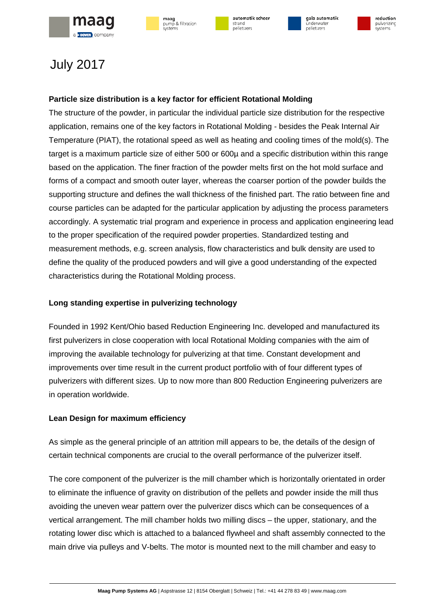







### **Particle size distribution is a key factor for efficient Rotational Molding**

The structure of the powder, in particular the individual particle size distribution for the respective application, remains one of the key factors in Rotational Molding - besides the Peak Internal Air Temperature (PIAT), the rotational speed as well as heating and cooling times of the mold(s). The target is a maximum particle size of either 500 or 600µ and a specific distribution within this range based on the application. The finer fraction of the powder melts first on the hot mold surface and forms of a compact and smooth outer layer, whereas the coarser portion of the powder builds the supporting structure and defines the wall thickness of the finished part. The ratio between fine and course particles can be adapted for the particular application by adjusting the process parameters accordingly. A systematic trial program and experience in process and application engineering lead to the proper specification of the required powder properties. Standardized testing and measurement methods, e.g. screen analysis, flow characteristics and bulk density are used to define the quality of the produced powders and will give a good understanding of the expected characteristics during the Rotational Molding process.

### **Long standing expertise in pulverizing technology**

Founded in 1992 Kent/Ohio based Reduction Engineering Inc. developed and manufactured its first pulverizers in close cooperation with local Rotational Molding companies with the aim of improving the available technology for pulverizing at that time. Constant development and improvements over time result in the current product portfolio with of four different types of pulverizers with different sizes. Up to now more than 800 Reduction Engineering pulverizers are in operation worldwide.

### **Lean Design for maximum efficiency**

As simple as the general principle of an attrition mill appears to be, the details of the design of certain technical components are crucial to the overall performance of the pulverizer itself.

The core component of the pulverizer is the mill chamber which is horizontally orientated in order to eliminate the influence of gravity on distribution of the pellets and powder inside the mill thus avoiding the uneven wear pattern over the pulverizer discs which can be consequences of a vertical arrangement. The mill chamber holds two milling discs – the upper, stationary, and the rotating lower disc which is attached to a balanced flywheel and shaft assembly connected to the main drive via pulleys and V-belts. The motor is mounted next to the mill chamber and easy to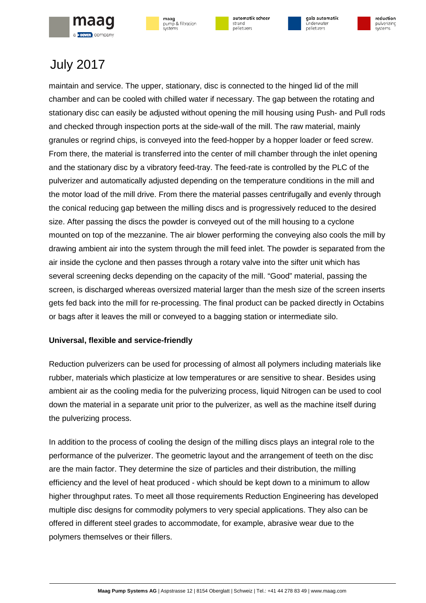

| maag             |
|------------------|
| pump & filtratio |
| systems          |





gala automatik .<br>Indenvate pelletizers



## July 2017

maintain and service. The upper, stationary, disc is connected to the hinged lid of the mill chamber and can be cooled with chilled water if necessary. The gap between the rotating and stationary disc can easily be adjusted without opening the mill housing using Push- and Pull rods and checked through inspection ports at the side-wall of the mill. The raw material, mainly granules or regrind chips, is conveyed into the feed-hopper by a hopper loader or feed screw. From there, the material is transferred into the center of mill chamber through the inlet opening and the stationary disc by a vibratory feed-tray. The feed-rate is controlled by the PLC of the pulverizer and automatically adjusted depending on the temperature conditions in the mill and the motor load of the mill drive. From there the material passes centrifugally and evenly through the conical reducing gap between the milling discs and is progressively reduced to the desired size. After passing the discs the powder is conveyed out of the mill housing to a cyclone mounted on top of the mezzanine. The air blower performing the conveying also cools the mill by drawing ambient air into the system through the mill feed inlet. The powder is separated from the air inside the cyclone and then passes through a rotary valve into the sifter unit which has several screening decks depending on the capacity of the mill. "Good" material, passing the screen, is discharged whereas oversized material larger than the mesh size of the screen inserts gets fed back into the mill for re-processing. The final product can be packed directly in Octabins or bags after it leaves the mill or conveyed to a bagging station or intermediate silo.

### **Universal, flexible and service-friendly**

Reduction pulverizers can be used for processing of almost all polymers including materials like rubber, materials which plasticize at low temperatures or are sensitive to shear. Besides using ambient air as the cooling media for the pulverizing process, liquid Nitrogen can be used to cool down the material in a separate unit prior to the pulverizer, as well as the machine itself during the pulverizing process.

In addition to the process of cooling the design of the milling discs plays an integral role to the performance of the pulverizer. The geometric layout and the arrangement of teeth on the disc are the main factor. They determine the size of particles and their distribution, the milling efficiency and the level of heat produced - which should be kept down to a minimum to allow higher throughput rates. To meet all those requirements Reduction Engineering has developed multiple disc designs for commodity polymers to very special applications. They also can be offered in different steel grades to accommodate, for example, abrasive wear due to the polymers themselves or their fillers.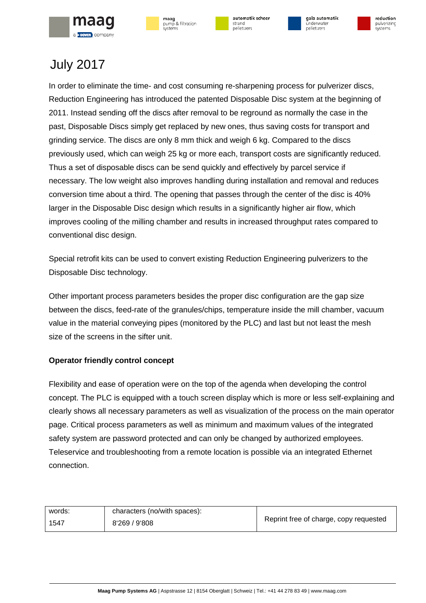

| maag             |  |
|------------------|--|
| pump & filtratio |  |
| systems          |  |









In order to eliminate the time- and cost consuming re-sharpening process for pulverizer discs, Reduction Engineering has introduced the patented Disposable Disc system at the beginning of 2011. Instead sending off the discs after removal to be reground as normally the case in the past, Disposable Discs simply get replaced by new ones, thus saving costs for transport and grinding service. The discs are only 8 mm thick and weigh 6 kg. Compared to the discs previously used, which can weigh 25 kg or more each, transport costs are significantly reduced. Thus a set of disposable discs can be send quickly and effectively by parcel service if necessary. The low weight also improves handling during installation and removal and reduces conversion time about a third. The opening that passes through the center of the disc is 40% larger in the Disposable Disc design which results in a significantly higher air flow, which improves cooling of the milling chamber and results in increased throughput rates compared to conventional disc design.

Special retrofit kits can be used to convert existing Reduction Engineering pulverizers to the Disposable Disc technology.

Other important process parameters besides the proper disc configuration are the gap size between the discs, feed-rate of the granules/chips, temperature inside the mill chamber, vacuum value in the material conveying pipes (monitored by the PLC) and last but not least the mesh size of the screens in the sifter unit.

### **Operator friendly control concept**

Flexibility and ease of operation were on the top of the agenda when developing the control concept. The PLC is equipped with a touch screen display which is more or less self-explaining and clearly shows all necessary parameters as well as visualization of the process on the main operator page. Critical process parameters as well as minimum and maximum values of the integrated safety system are password protected and can only be changed by authorized employees. Teleservice and troubleshooting from a remote location is possible via an integrated Ethernet connection.

| words: | characters (no/with spaces): | Reprint free of charge, copy requested |
|--------|------------------------------|----------------------------------------|
| 1547   | 8'269/9'808                  |                                        |